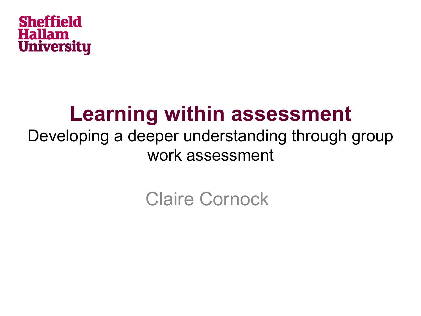

### **Learning within assessment**

#### Developing a deeper understanding through group work assessment

#### Claire Cornock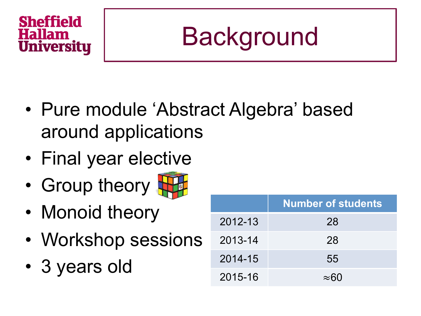# **Background**

- Pure module 'Abstract Algebra' based around applications
- Final year elective
- Group theory



- Monoid theory
- Workshop sessions
- 3 years old

|         | <b>Number of students</b> |
|---------|---------------------------|
| 2012-13 | 28                        |
| 2013-14 | 28                        |
| 2014-15 | 55                        |
| 2015-16 | $\approx$ 60              |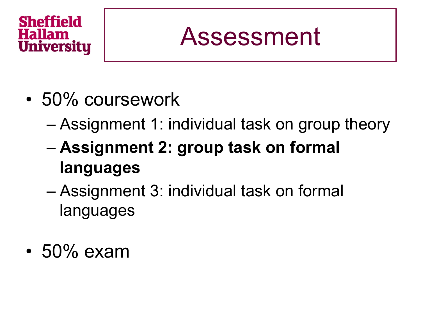### Assessment

- 50% coursework
	- Assignment 1: individual task on group theory
	- **Assignment 2: group task on formal languages**
	- Assignment 3: individual task on formal languages
- 50% exam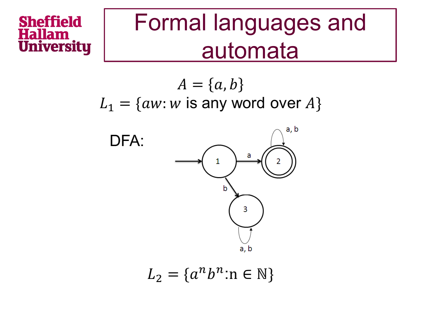### Formal languages and automata

 $A = \{a, b\}$  $L_1 = \{aw : w \text{ is any word over } A\}$ 



$$
L_2 = \{a^n b^n : n \in \mathbb{N}\}
$$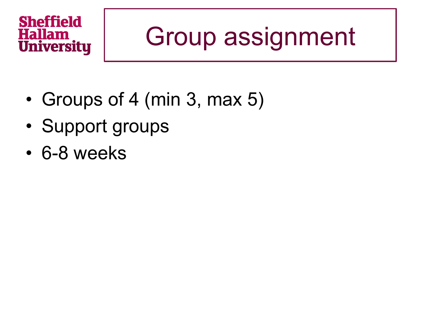# Group assignment

- Groups of 4 (min 3, max 5)
- Support groups
- 6-8 weeks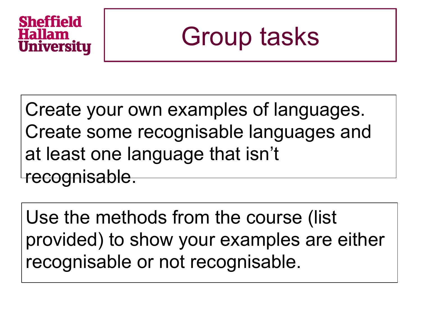### Group tasks

Create your own examples of languages. Create some recognisable languages and at least one language that isn't recognisable.

Use the methods from the course (list provided) to show your examples are either recognisable or not recognisable.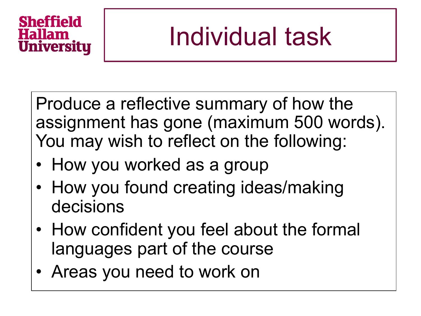# Individual task

Produce a reflective summary of how the assignment has gone (maximum 500 words). You may wish to reflect on the following:

- How you worked as a group
- How you found creating ideas/making decisions
- How confident you feel about the formal languages part of the course
- Areas you need to work on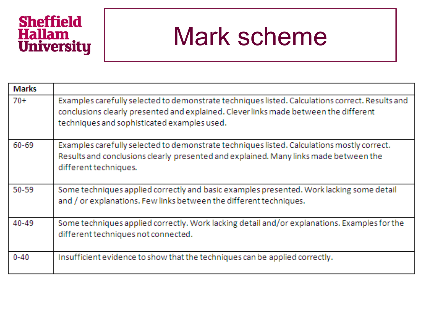# **Sheffield<br>Hallam<br>University**

### Mark scheme

| <b>Marks</b> |                                                                                                                                                                                                                                        |
|--------------|----------------------------------------------------------------------------------------------------------------------------------------------------------------------------------------------------------------------------------------|
| $70+$        | Examples carefully selected to demonstrate techniques listed. Calculations correct. Results and<br>conclusions clearly presented and explained. Clever links made between the different<br>techniques and sophisticated examples used. |
| $60 - 69$    | Examples carefully selected to demonstrate techniques listed. Calculations mostly correct.<br>Results and conclusions clearly presented and explained. Many links made between the<br>different techniques.                            |
| $50 - 59$    | Some techniques applied correctly and basic examples presented. Work lacking some detail<br>and / or explanations. Few links between the different techniques.                                                                         |
| 40-49        | Some techniques applied correctly. Work lacking detail and/or explanations. Examples for the<br>different techniques not connected.                                                                                                    |
| $0 - 40$     | Insufficient evidence to show that the techniques can be applied correctly.                                                                                                                                                            |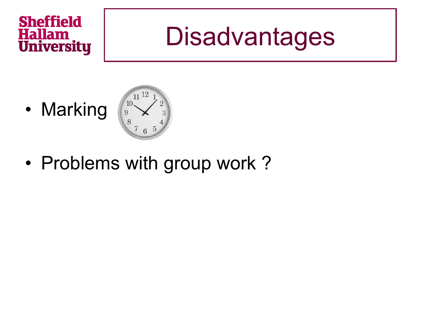### **Disadvantages**

• Marking



• Problems with group work?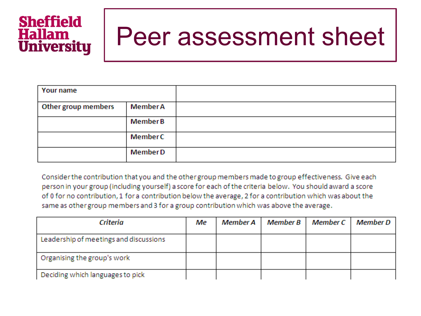### Peer assessment sheet

| Your name           |                 |  |
|---------------------|-----------------|--|
| Other group members | <b>Member A</b> |  |
|                     | <b>Member B</b> |  |
|                     | Member C        |  |
|                     | <b>MemberD</b>  |  |

Consider the contribution that you and the other group members made to group effectiveness. Give each person in your group (including yourself) a score for each of the criteria below. You should award a score of 0 for no contribution, 1 for a contribution below the average, 2 for a contribution which was about the same as other group members and 3 for a group contribution which was above the average.

| Criteria                               | Мe | Member A | Member B | Member C | Member D |
|----------------------------------------|----|----------|----------|----------|----------|
| Leadership of meetings and discussions |    |          |          |          |          |
| Organising the group's work            |    |          |          |          |          |
| Deciding which languages to pick       |    |          |          |          |          |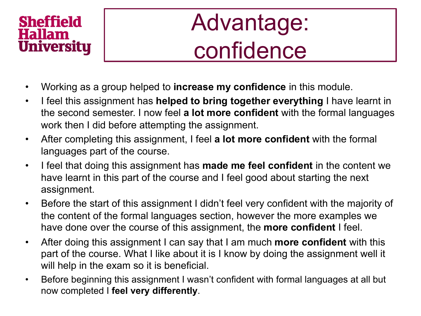### Advantage: confidence

- Working as a group helped to **increase my confidence** in this module.
- I feel this assignment has **helped to bring together everything** I have learnt in the second semester. I now feel **a lot more confident** with the formal languages work then I did before attempting the assignment.
- After completing this assignment, I feel **a lot more confident** with the formal languages part of the course.
- I feel that doing this assignment has **made me feel confident** in the content we have learnt in this part of the course and I feel good about starting the next assignment.
- Before the start of this assignment I didn't feel very confident with the majority of the content of the formal languages section, however the more examples we have done over the course of this assignment, the **more confident** I feel.
- After doing this assignment I can say that I am much **more confident** with this part of the course. What I like about it is I know by doing the assignment well it will help in the exam so it is beneficial.
- Before beginning this assignment I wasn't confident with formal languages at all but now completed I **feel very differently**.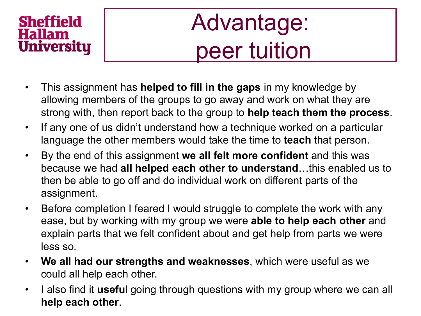### Advantage: peer tuition

- This assignment has **helped to fill in the gaps** in my knowledge by allowing members of the groups to go away and work on what they are strong with, then report back to the group to **help teach them the process**.
- **I**f any one of us didn't understand how a technique worked on a particular language the other members would take the time to **teach** that person.
- By the end of this assignment **we all felt more confident** and this was because we had **all helped each other to understand**…this enabled us to then be able to go off and do individual work on different parts of the assignment.
- Before completion I feared I would struggle to complete the work with any ease, but by working with my group we were **able to help each other** and explain parts that we felt confident about and get help from parts we were less so.
- **We all had our strengths and weaknesses**, which were useful as we could all help each other.
- I also find it **usefu**l going through questions with my group where we can all **help each other**.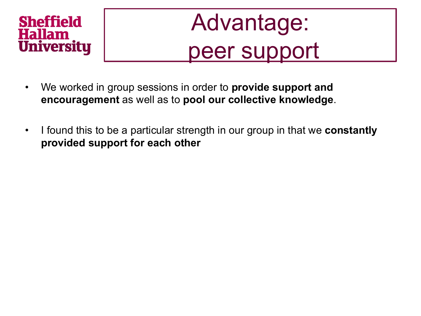# Advantage: peer support

- We worked in group sessions in order to **provide support and encouragement** as well as to **pool our collective knowledge**.
- I found this to be a particular strength in our group in that we **constantly provided support for each other**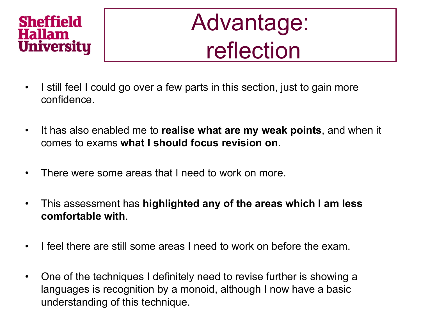### Advantage: reflection

- I still feel I could go over a few parts in this section, just to gain more confidence.
- It has also enabled me to **realise what are my weak points**, and when it comes to exams **what I should focus revision on**.
- There were some areas that I need to work on more.
- This assessment has **highlighted any of the areas which I am less comfortable with**.
- I feel there are still some areas I need to work on before the exam.
- One of the techniques I definitely need to revise further is showing a languages is recognition by a monoid, although I now have a basic understanding of this technique.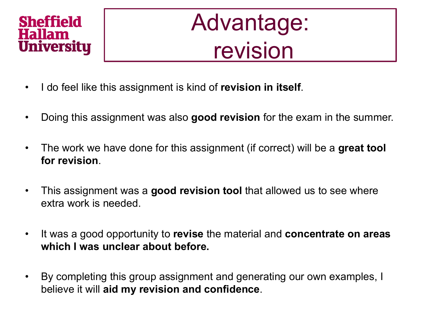### Advantage: revision

- I do feel like this assignment is kind of **revision in itself**.
- Doing this assignment was also **good revision** for the exam in the summer.
- The work we have done for this assignment (if correct) will be a **great tool for revision**.
- This assignment was a **good revision tool** that allowed us to see where extra work is needed.
- It was a good opportunity to **revise** the material and **concentrate on areas which I was unclear about before.**
- By completing this group assignment and generating our own examples, I believe it will **aid my revision and confidence**.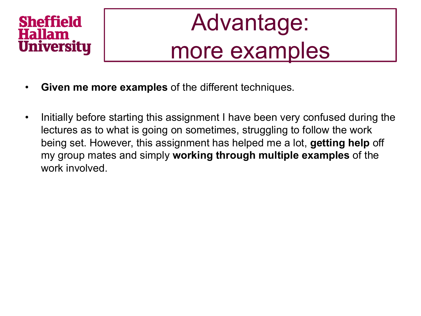### Advantage: more examples

- **Given me more examples** of the different techniques.
- Initially before starting this assignment I have been very confused during the lectures as to what is going on sometimes, struggling to follow the work being set. However, this assignment has helped me a lot, **getting help** off my group mates and simply **working through multiple examples** of the work involved.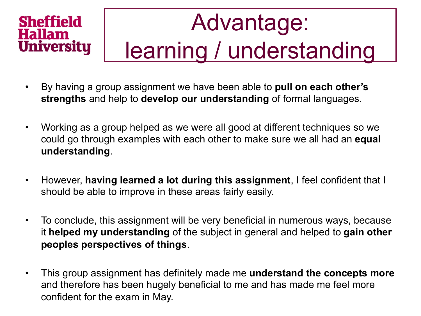# Advantage: learning / understanding

- By having a group assignment we have been able to **pull on each other's strengths** and help to **develop our understanding** of formal languages.
- Working as a group helped as we were all good at different techniques so we could go through examples with each other to make sure we all had an **equal understanding**.
- However, **having learned a lot during this assignment**, I feel confident that I should be able to improve in these areas fairly easily.
- To conclude, this assignment will be very beneficial in numerous ways, because it **helped my understanding** of the subject in general and helped to **gain other peoples perspectives of things**.
- This group assignment has definitely made me **understand the concepts more** and therefore has been hugely beneficial to me and has made me feel more confident for the exam in May.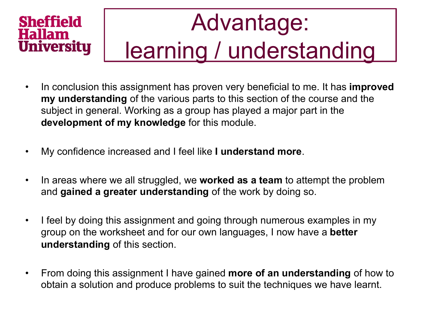# Advantage: learning / understanding

- In conclusion this assignment has proven very beneficial to me. It has **improved my understanding** of the various parts to this section of the course and the subject in general. Working as a group has played a major part in the **development of my knowledge** for this module.
- My confidence increased and I feel like **I understand more**.
- In areas where we all struggled, we **worked as a team** to attempt the problem and **gained a greater understanding** of the work by doing so.
- I feel by doing this assignment and going through numerous examples in my group on the worksheet and for our own languages, I now have a **better understanding** of this section.
- From doing this assignment I have gained **more of an understanding** of how to obtain a solution and produce problems to suit the techniques we have learnt.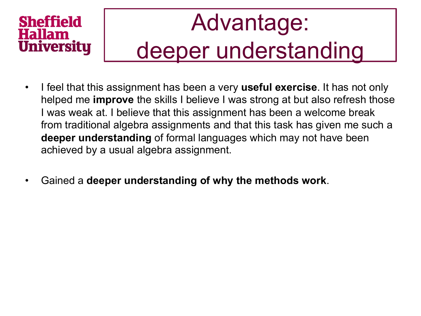### Advantage: deeper understanding

- I feel that this assignment has been a very **useful exercise**. It has not only helped me **improve** the skills I believe I was strong at but also refresh those I was weak at. I believe that this assignment has been a welcome break from traditional algebra assignments and that this task has given me such a **deeper understanding** of formal languages which may not have been achieved by a usual algebra assignment.
- Gained a **deeper understanding of why the methods work**.